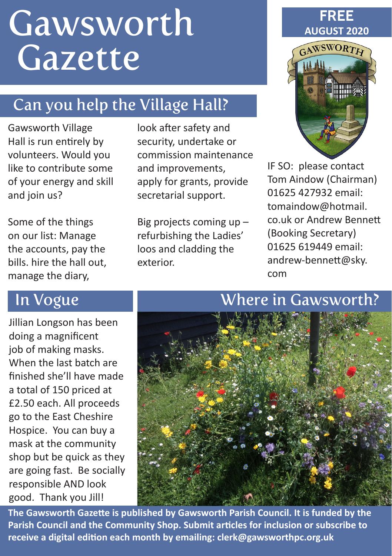# **Gawsworth** Gazette

# Can you help the Village Hall?

Gawsworth Village Hall is run entirely by volunteers. Would you like to contribute some of your energy and skill and join us?

Some of the things on our list: Manage the accounts, pay the bills. hire the hall out, manage the diary,

look after safety and security, undertake or commission maintenance and improvements, apply for grants, provide secretarial support.

Big projects coming up – refurbishing the Ladies' loos and cladding the exterior.

#### **FREE AUGUST 2020**



IF SO: please contact Tom Aindow (Chairman) 01625 427932 email: tomaindow@hotmail. co.uk or Andrew Bennett (Booking Secretary) 01625 619449 email: andrew-bennett@sky. com

Jillian Longson has been doing a magnificent job of making masks. When the last batch are finished she'll have made a total of 150 priced at £2.50 each. All proceeds go to the East Cheshire Hospice. You can buy a mask at the community shop but be quick as they are going fast. Be socially responsible AND look good. Thank you Jill!

#### In Vogue Where in Gawsworth?



**The Gawsworth Gazette is published by Gawsworth Parish Council. It is funded by the Parish Council and the Community Shop. Submit articles for inclusion or subscribe to receive a digital edition each month by emailing: clerk@gawsworthpc.org.uk**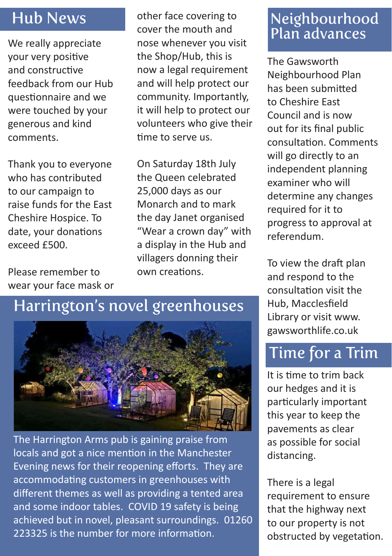#### Hub News

We really appreciate your very positive and constructive feedback from our Hub questionnaire and we were touched by your generous and kind comments.

Thank you to everyone who has contributed to our campaign to raise funds for the East Cheshire Hospice. To date, your donations exceed £500.

Please remember to wear your face mask or other face covering to cover the mouth and nose whenever you visit the Shop/Hub, this is now a legal requirement and will help protect our community. Importantly, it will help to protect our volunteers who give their time to serve us.

On Saturday 18th July the Queen celebrated 25,000 days as our Monarch and to mark the day Janet organised "Wear a crown day" with a display in the Hub and villagers donning their own creations.

# Harrington's novel greenhouses



The Harrington Arms pub is gaining praise from locals and got a nice mention in the Manchester Evening news for their reopening efforts. They are accommodating customers in greenhouses with different themes as well as providing a tented area and some indoor tables. COVID 19 safety is being achieved but in novel, pleasant surroundings. 01260 223325 is the number for more information.

#### Neighbourhood Plan advances

The Gawsworth Neighbourhood Plan has been submitted to Cheshire East Council and is now out for its final public consultation. Comments will go directly to an independent planning examiner who will determine any changes required for it to progress to approval at referendum.

To view the draft plan and respond to the consultation visit the Hub, Macclesfield Library or visit www. gawsworthlife.co.uk

## Time for a Trim

It is time to trim back our hedges and it is particularly important this year to keep the pavements as clear as possible for social distancing.

There is a legal requirement to ensure that the highway next to our property is not obstructed by vegetation.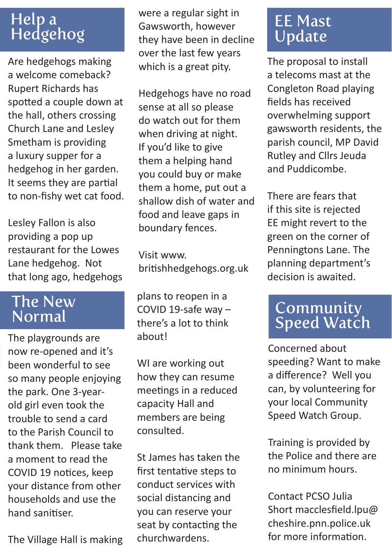### Help a Hedgehog

Are hedgehogs making a welcome comeback? Rupert Richards has spotted a couple down at the hall, others crossing Church Lane and Lesley Smetham is providing a luxury supper for a hedgehog in her garden. It seems they are partial to non-fishy wet cat food.

Lesley Fallon is also providing a pop up restaurant for the Lowes Lane hedgehog. Not that long ago, hedgehogs

#### The New Normal

The playgrounds are now re-opened and it's been wonderful to see so many people enjoying the park. One 3-yearold girl even took the trouble to send a card to the Parish Council to thank them. Please take a moment to read the COVID 19 notices, keep your distance from other households and use the hand sanitiser.

The Village Hall is making

were a regular sight in Gawsworth, however they have been in decline over the last few years which is a great pity.

Hedgehogs have no road sense at all so please do watch out for them when driving at night. If you'd like to give them a helping hand you could buy or make them a home, put out a shallow dish of water and food and leave gaps in boundary fences.

Visit www. britishhedgehogs.org.uk

plans to reopen in a COVID 19-safe way – there's a lot to think about!

WI are working out how they can resume meetings in a reduced capacity Hall and members are being consulted.

St James has taken the first tentative steps to conduct services with social distancing and you can reserve your seat by contacting the churchwardens.

#### EE Mast Update

The proposal to install a telecoms mast at the Congleton Road playing fields has received overwhelming support gawsworth residents, the parish council, MP David Rutley and Cllrs Jeuda and Puddicombe.

There are fears that if this site is rejected EE might revert to the green on the corner of Penningtons Lane. The planning department's decision is awaited.

### Community Speed Watch

Concerned about speeding? Want to make a difference? Well you can, by volunteering for your local Community Speed Watch Group.

Training is provided by the Police and there are no minimum hours.

Contact PCSO Julia Short macclesfield.lpu@ cheshire.pnn.police.uk for more information.